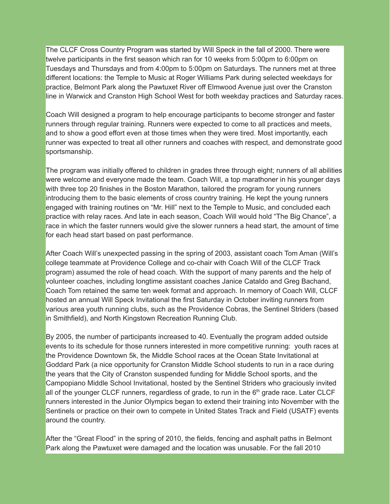The CLCF Cross Country Program was started by Will Speck in the fall of 2000. There were twelve participants in the first season which ran for 10 weeks from 5:00pm to 6:00pm on Tuesdays and Thursdays and from 4:00pm to 5:00pm on Saturdays. The runners met at three different locations: the Temple to Music at Roger Williams Park during selected weekdays for practice, Belmont Park along the Pawtuxet River off Elmwood Avenue just over the Cranston line in Warwick and Cranston High School West for both weekday practices and Saturday races.

Coach Will designed a program to help encourage participants to become stronger and faster runners through regular training. Runners were expected to come to all practices and meets, and to show a good effort even at those times when they were tired. Most importantly, each runner was expected to treat all other runners and coaches with respect, and demonstrate good sportsmanship.

The program was initially offered to children in grades three through eight; runners of all abilities were welcome and everyone made the team. Coach Will, a top marathoner in his younger days with three top 20 finishes in the Boston Marathon, tailored the program for young runners introducing them to the basic elements of cross country training. He kept the young runners engaged with training routines on "Mr. Hill" next to the Temple to Music, and concluded each practice with relay races. And late in each season, Coach Will would hold "The Big Chance", a race in which the faster runners would give the slower runners a head start, the amount of time for each head start based on past performance.

After Coach Will's unexpected passing in the spring of 2003, assistant coach Tom Aman (Will's college teammate at Providence College and co-chair with Coach Will of the CLCF Track program) assumed the role of head coach. With the support of many parents and the help of volunteer coaches, including longtime assistant coaches Janice Cataldo and Greg Bachand, Coach Tom retained the same ten week format and approach. In memory of Coach Will, CLCF hosted an annual Will Speck Invitational the first Saturday in October inviting runners from various area youth running clubs, such as the Providence Cobras, the Sentinel Striders (based in Smithfield), and North Kingstown Recreation Running Club.

By 2005, the number of participants increased to 40. Eventually the program added outside events to its schedule for those runners interested in more competitive running: youth races at the Providence Downtown 5k, the Middle School races at the Ocean State Invitational at Goddard Park (a nice opportunity for Cranston Middle School students to run in a race during the years that the City of Cranston suspended funding for Middle School sports, and the Campopiano Middle School Invitational, hosted by the Sentinel Striders who graciously invited all of the younger CLCF runners, regardless of grade, to run in the 6<sup>th</sup> grade race. Later CLCF runners interested in the Junior Olympics began to extend their training into November with the Sentinels or practice on their own to compete in United States Track and Field (USATF) events around the country.

After the "Great Flood" in the spring of 2010, the fields, fencing and asphalt paths in Belmont Park along the Pawtuxet were damaged and the location was unusable. For the fall 2010